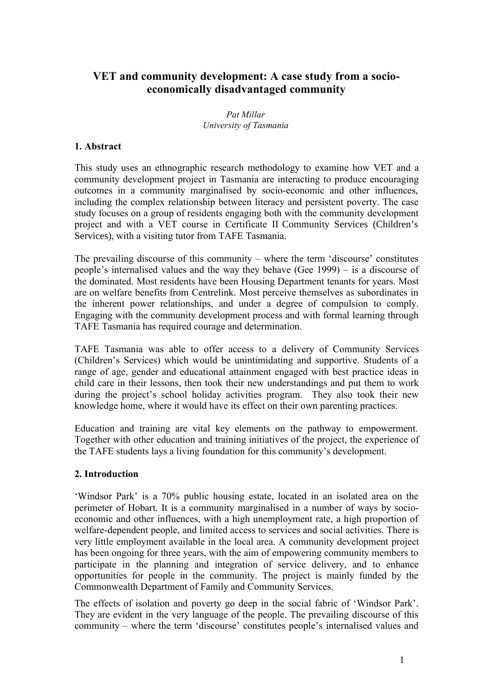# **VET and community development: A case study from a socioeconomically disadvantaged community**

*Pat Millar University of Tasmania*

# **1. Abstract**

This study uses an ethnographic research methodology to examine how VET and a community development project in Tasmania are interacting to produce encouraging outcomes in a community marginalised by socio-economic and other influences, including the complex relationship between literacy and persistent poverty. The case study focuses on a group of residents engaging both with the community development project and with a VET course in Certificate II Community Services (Children's Services), with a visiting tutor from TAFE Tasmania.

The prevailing discourse of this community – where the term 'discourse' constitutes people's internalised values and the way they behave (Gee 1999) – is a discourse of the dominated. Most residents have been Housing Department tenants for years. Most are on welfare benefits from Centrelink. Most perceive themselves as subordinates in the inherent power relationships, and under a degree of compulsion to comply. Engaging with the community development process and with formal learning through TAFE Tasmania has required courage and determination.

TAFE Tasmania was able to offer access to a delivery of Community Services (Children's Services) which would be unintimidating and supportive. Students of a range of age, gender and educational attainment engaged with best practice ideas in child care in their lessons, then took their new understandings and put them to work during the project's school holiday activities program. They also took their new knowledge home, where it would have its effect on their own parenting practices.

Education and training are vital key elements on the pathway to empowerment. Together with other education and training initiatives of the project, the experience of the TAFE students lays a living foundation for this community's development.

# **2. Introduction**

'Windsor Park' is a 70% public housing estate, located in an isolated area on the perimeter of Hobart. It is a community marginalised in a number of ways by socioeconomic and other influences, with a high unemployment rate, a high proportion of welfare-dependent people, and limited access to services and social activities. There is very little employment available in the local area. A community development project has been ongoing for three years, with the aim of empowering community members to participate in the planning and integration of service delivery, and to enhance opportunities for people in the community. The project is mainly funded by the Commonwealth Department of Family and Community Services.

The effects of isolation and poverty go deep in the social fabric of 'Windsor Park'. They are evident in the very language of the people. The prevailing discourse of this community – where the term 'discourse' constitutes people's internalised values and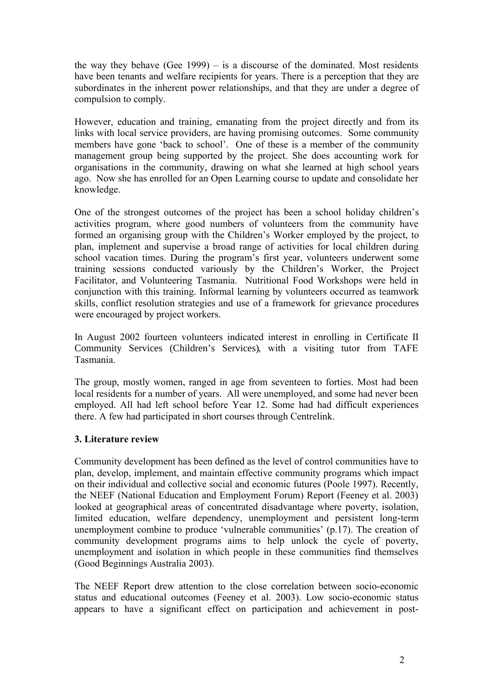the way they behave (Gee 1999) – is a discourse of the dominated. Most residents have been tenants and welfare recipients for years. There is a perception that they are subordinates in the inherent power relationships, and that they are under a degree of compulsion to comply.

However, education and training, emanating from the project directly and from its links with local service providers, are having promising outcomes. Some community members have gone 'back to school'. One of these is a member of the community management group being supported by the project. She does accounting work for organisations in the community, drawing on what she learned at high school years ago. Now she has enrolled for an Open Learning course to update and consolidate her knowledge.

One of the strongest outcomes of the project has been a school holiday children's activities program, where good numbers of volunteers from the community have formed an organising group with the Children's Worker employed by the project, to plan, implement and supervise a broad range of activities for local children during school vacation times. During the program's first year, volunteers underwent some training sessions conducted variously by the Children's Worker, the Project Facilitator, and Volunteering Tasmania. Nutritional Food Workshops were held in conjunction with this training. Informal learning by volunteers occurred as teamwork skills, conflict resolution strategies and use of a framework for grievance procedures were encouraged by project workers.

In August 2002 fourteen volunteers indicated interest in enrolling in Certificate II Community Services (Children's Services), with a visiting tutor from TAFE Tasmania.

The group, mostly women, ranged in age from seventeen to forties. Most had been local residents for a number of years. All were unemployed, and some had never been employed. All had left school before Year 12. Some had had difficult experiences there. A few had participated in short courses through Centrelink.

# **3. Literature review**

Community development has been defined as the level of control communities have to plan, develop, implement, and maintain effective community programs which impact on their individual and collective social and economic futures (Poole 1997). Recently, the NEEF (National Education and Employment Forum) Report (Feeney et al. 2003) looked at geographical areas of concentrated disadvantage where poverty, isolation, limited education, welfare dependency, unemployment and persistent long-term unemployment combine to produce 'vulnerable communities' (p.17). The creation of community development programs aims to help unlock the cycle of poverty, unemployment and isolation in which people in these communities find themselves (Good Beginnings Australia 2003).

The NEEF Report drew attention to the close correlation between socio-economic status and educational outcomes (Feeney et al. 2003). Low socio-economic status appears to have a significant effect on participation and achievement in post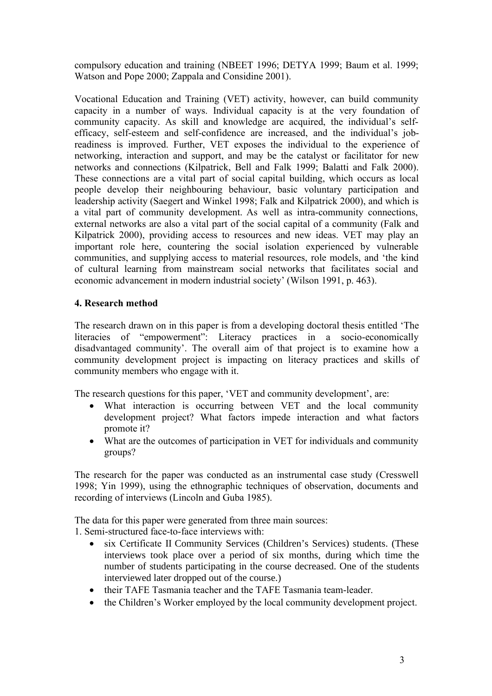compulsory education and training (NBEET 1996; DETYA 1999; Baum et al. 1999; Watson and Pope 2000; Zappala and Considine 2001).

Vocational Education and Training (VET) activity, however, can build community capacity in a number of ways. Individual capacity is at the very foundation of community capacity. As skill and knowledge are acquired, the individual's selfefficacy, self-esteem and self-confidence are increased, and the individual's jobreadiness is improved. Further, VET exposes the individual to the experience of networking, interaction and support, and may be the catalyst or facilitator for new networks and connections (Kilpatrick, Bell and Falk 1999; Balatti and Falk 2000). These connections are a vital part of social capital building, which occurs as local people develop their neighbouring behaviour, basic voluntary participation and leadership activity (Saegert and Winkel 1998; Falk and Kilpatrick 2000), and which is a vital part of community development. As well as intra-community connections, external networks are also a vital part of the social capital of a community (Falk and Kilpatrick 2000), providing access to resources and new ideas. VET may play an important role here, countering the social isolation experienced by vulnerable communities, and supplying access to material resources, role models, and 'the kind of cultural learning from mainstream social networks that facilitates social and economic advancement in modern industrial society' (Wilson 1991, p. 463).

# **4. Research method**

The research drawn on in this paper is from a developing doctoral thesis entitled 'The literacies of "empowerment": Literacy practices in a socio-economically disadvantaged community'. The overall aim of that project is to examine how a community development project is impacting on literacy practices and skills of community members who engage with it.

The research questions for this paper, 'VET and community development', are:

- What interaction is occurring between VET and the local community development project? What factors impede interaction and what factors promote it?
- What are the outcomes of participation in VET for individuals and community groups?

The research for the paper was conducted as an instrumental case study (Cresswell 1998; Yin 1999), using the ethnographic techniques of observation, documents and recording of interviews (Lincoln and Guba 1985).

The data for this paper were generated from three main sources:

1. Semi-structured face-to-face interviews with:

- six Certificate II Community Services (Children's Services) students. (These interviews took place over a period of six months, during which time the number of students participating in the course decreased. One of the students interviewed later dropped out of the course.)
- their TAFE Tasmania teacher and the TAFE Tasmania team-leader.
- the Children's Worker employed by the local community development project.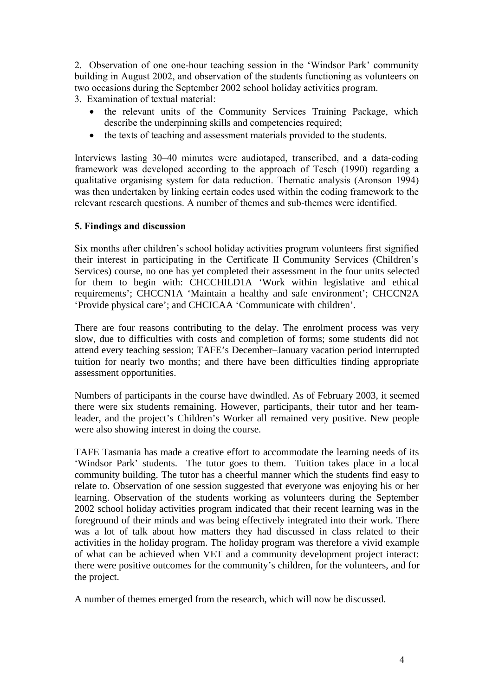2. Observation of one one-hour teaching session in the 'Windsor Park' community building in August 2002, and observation of the students functioning as volunteers on two occasions during the September 2002 school holiday activities program.

3. Examination of textual material:

- the relevant units of the Community Services Training Package, which describe the underpinning skills and competencies required;
- the texts of teaching and assessment materials provided to the students.

Interviews lasting 30–40 minutes were audiotaped, transcribed, and a data-coding framework was developed according to the approach of Tesch (1990) regarding a qualitative organising system for data reduction. Thematic analysis (Aronson 1994) was then undertaken by linking certain codes used within the coding framework to the relevant research questions. A number of themes and sub-themes were identified.

### **5. Findings and discussion**

Six months after children's school holiday activities program volunteers first signified their interest in participating in the Certificate II Community Services (Children's Services) course, no one has yet completed their assessment in the four units selected for them to begin with: CHCCHILD1A 'Work within legislative and ethical requirements'; CHCCN1A 'Maintain a healthy and safe environment'; CHCCN2A 'Provide physical care'; and CHCICAA 'Communicate with children'.

There are four reasons contributing to the delay. The enrolment process was very slow, due to difficulties with costs and completion of forms; some students did not attend every teaching session; TAFE's December–January vacation period interrupted tuition for nearly two months; and there have been difficulties finding appropriate assessment opportunities.

Numbers of participants in the course have dwindled. As of February 2003, it seemed there were six students remaining. However, participants, their tutor and her teamleader, and the project's Children's Worker all remained very positive. New people were also showing interest in doing the course.

TAFE Tasmania has made a creative effort to accommodate the learning needs of its 'Windsor Park' students. The tutor goes to them. Tuition takes place in a local community building. The tutor has a cheerful manner which the students find easy to relate to. Observation of one session suggested that everyone was enjoying his or her learning. Observation of the students working as volunteers during the September 2002 school holiday activities program indicated that their recent learning was in the foreground of their minds and was being effectively integrated into their work. There was a lot of talk about how matters they had discussed in class related to their activities in the holiday program. The holiday program was therefore a vivid example of what can be achieved when VET and a community development project interact: there were positive outcomes for the community's children, for the volunteers, and for the project.

A number of themes emerged from the research, which will now be discussed.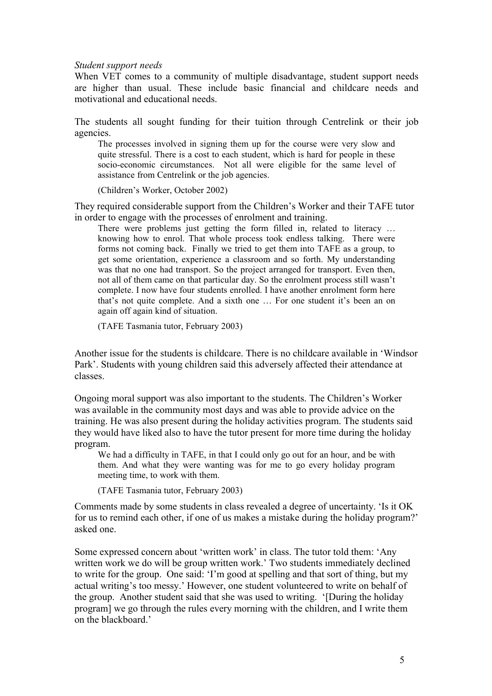*Student support needs*

When VET comes to a community of multiple disadvantage, student support needs are higher than usual. These include basic financial and childcare needs and motivational and educational needs.

The students all sought funding for their tuition through Centrelink or their job agencies.

The processes involved in signing them up for the course were very slow and quite stressful. There is a cost to each student, which is hard for people in these socio-economic circumstances. Not all were eligible for the same level of assistance from Centrelink or the job agencies.

(Children's Worker, October 2002)

They required considerable support from the Children's Worker and their TAFE tutor in order to engage with the processes of enrolment and training.

There were problems just getting the form filled in, related to literacy ... knowing how to enrol. That whole process took endless talking. There were forms not coming back. Finally we tried to get them into TAFE as a group, to get some orientation, experience a classroom and so forth. My understanding was that no one had transport. So the project arranged for transport. Even then, not all of them came on that particular day. So the enrolment process still wasn't complete. I now have four students enrolled. I have another enrolment form here that's not quite complete. And a sixth one … For one student it's been an on again off again kind of situation.

(TAFE Tasmania tutor, February 2003)

Another issue for the students is childcare. There is no childcare available in 'Windsor Park'. Students with young children said this adversely affected their attendance at classes.

Ongoing moral support was also important to the students. The Children's Worker was available in the community most days and was able to provide advice on the training. He was also present during the holiday activities program. The students said they would have liked also to have the tutor present for more time during the holiday program.

We had a difficulty in TAFE, in that I could only go out for an hour, and be with them. And what they were wanting was for me to go every holiday program meeting time, to work with them.

(TAFE Tasmania tutor, February 2003)

Comments made by some students in class revealed a degree of uncertainty. 'Is it OK for us to remind each other, if one of us makes a mistake during the holiday program?' asked one.

Some expressed concern about 'written work' in class. The tutor told them: 'Any written work we do will be group written work.' Two students immediately declined to write for the group. One said: 'I'm good at spelling and that sort of thing, but my actual writing's too messy.' However, one student volunteered to write on behalf of the group. Another student said that she was used to writing. '[During the holiday program] we go through the rules every morning with the children, and I write them on the blackboard.'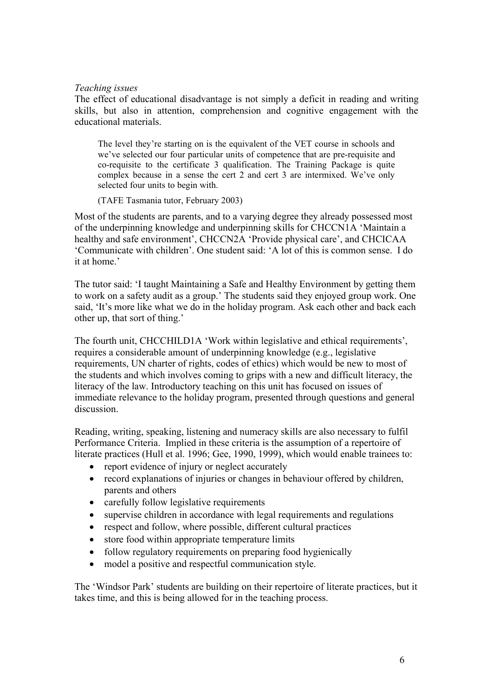### *Teaching issues*

The effect of educational disadvantage is not simply a deficit in reading and writing skills, but also in attention, comprehension and cognitive engagement with the educational materials.

The level they're starting on is the equivalent of the VET course in schools and we've selected our four particular units of competence that are pre-requisite and co-requisite to the certificate 3 qualification. The Training Package is quite complex because in a sense the cert 2 and cert 3 are intermixed. We've only selected four units to begin with.

(TAFE Tasmania tutor, February 2003)

Most of the students are parents, and to a varying degree they already possessed most of the underpinning knowledge and underpinning skills for CHCCN1A 'Maintain a healthy and safe environment', CHCCN2A 'Provide physical care', and CHCICAA 'Communicate with children'. One student said: 'A lot of this is common sense. I do it at home.'

The tutor said: 'I taught Maintaining a Safe and Healthy Environment by getting them to work on a safety audit as a group.' The students said they enjoyed group work. One said, 'It's more like what we do in the holiday program. Ask each other and back each other up, that sort of thing.'

The fourth unit, CHCCHILD1A 'Work within legislative and ethical requirements', requires a considerable amount of underpinning knowledge (e.g., legislative requirements, UN charter of rights, codes of ethics) which would be new to most of the students and which involves coming to grips with a new and difficult literacy, the literacy of the law. Introductory teaching on this unit has focused on issues of immediate relevance to the holiday program, presented through questions and general discussion.

Reading, writing, speaking, listening and numeracy skills are also necessary to fulfil Performance Criteria. Implied in these criteria is the assumption of a repertoire of literate practices (Hull et al. 1996; Gee, 1990, 1999), which would enable trainees to:

- report evidence of injury or neglect accurately
- record explanations of injuries or changes in behaviour offered by children, parents and others
- carefully follow legislative requirements
- supervise children in accordance with legal requirements and regulations
- respect and follow, where possible, different cultural practices
- store food within appropriate temperature limits
- follow regulatory requirements on preparing food hygienically
- model a positive and respectful communication style.

The 'Windsor Park' students are building on their repertoire of literate practices, but it takes time, and this is being allowed for in the teaching process.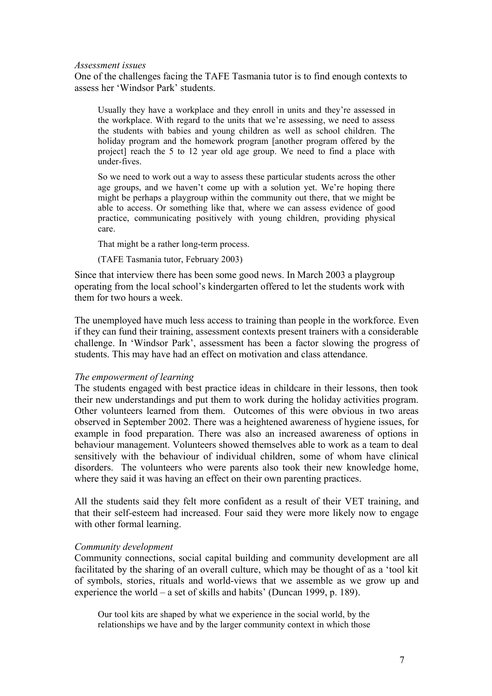#### *Assessment issues*

One of the challenges facing the TAFE Tasmania tutor is to find enough contexts to assess her 'Windsor Park' students.

Usually they have a workplace and they enroll in units and they're assessed in the workplace. With regard to the units that we're assessing, we need to assess the students with babies and young children as well as school children. The holiday program and the homework program [another program offered by the project] reach the 5 to 12 year old age group. We need to find a place with under-fives.

So we need to work out a way to assess these particular students across the other age groups, and we haven't come up with a solution yet. We're hoping there might be perhaps a playgroup within the community out there, that we might be able to access. Or something like that, where we can assess evidence of good practice, communicating positively with young children, providing physical care.

That might be a rather long-term process.

(TAFE Tasmania tutor, February 2003)

Since that interview there has been some good news. In March 2003 a playgroup operating from the local school's kindergarten offered to let the students work with them for two hours a week.

The unemployed have much less access to training than people in the workforce. Even if they can fund their training, assessment contexts present trainers with a considerable challenge. In 'Windsor Park', assessment has been a factor slowing the progress of students. This may have had an effect on motivation and class attendance.

#### *The empowerment of learning*

The students engaged with best practice ideas in childcare in their lessons, then took their new understandings and put them to work during the holiday activities program. Other volunteers learned from them. Outcomes of this were obvious in two areas observed in September 2002. There was a heightened awareness of hygiene issues, for example in food preparation. There was also an increased awareness of options in behaviour management. Volunteers showed themselves able to work as a team to deal sensitively with the behaviour of individual children, some of whom have clinical disorders. The volunteers who were parents also took their new knowledge home, where they said it was having an effect on their own parenting practices.

All the students said they felt more confident as a result of their VET training, and that their self-esteem had increased. Four said they were more likely now to engage with other formal learning.

### *Community development*

Community connections, social capital building and community development are all facilitated by the sharing of an overall culture, which may be thought of as a 'tool kit of symbols, stories, rituals and world-views that we assemble as we grow up and experience the world – a set of skills and habits' (Duncan 1999, p. 189).

Our tool kits are shaped by what we experience in the social world, by the relationships we have and by the larger community context in which those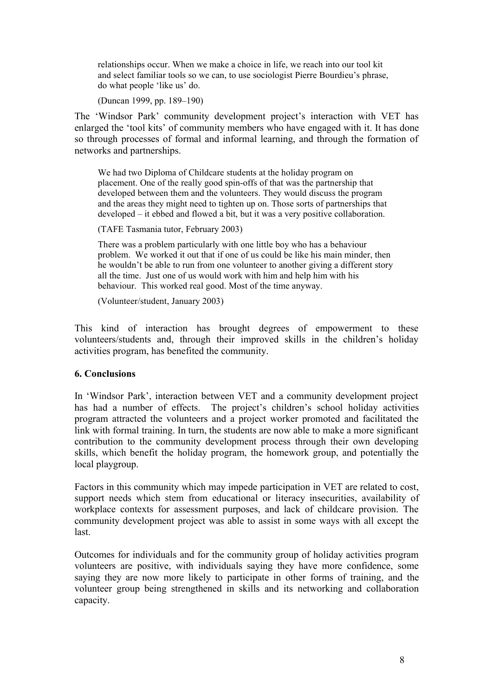relationships occur. When we make a choice in life, we reach into our tool kit and select familiar tools so we can, to use sociologist Pierre Bourdieu's phrase, do what people 'like us' do.

(Duncan 1999, pp. 189–190)

The 'Windsor Park' community development project's interaction with VET has enlarged the 'tool kits' of community members who have engaged with it. It has done so through processes of formal and informal learning, and through the formation of networks and partnerships.

We had two Diploma of Childcare students at the holiday program on placement. One of the really good spin-offs of that was the partnership that developed between them and the volunteers. They would discuss the program and the areas they might need to tighten up on. Those sorts of partnerships that developed – it ebbed and flowed a bit, but it was a very positive collaboration.

(TAFE Tasmania tutor, February 2003)

There was a problem particularly with one little boy who has a behaviour problem. We worked it out that if one of us could be like his main minder, then he wouldn't be able to run from one volunteer to another giving a different story all the time. Just one of us would work with him and help him with his behaviour. This worked real good. Most of the time anyway.

(Volunteer/student, January 2003)

This kind of interaction has brought degrees of empowerment to these volunteers/students and, through their improved skills in the children's holiday activities program, has benefited the community.

# **6. Conclusions**

In 'Windsor Park', interaction between VET and a community development project has had a number of effects. The project's children's school holiday activities program attracted the volunteers and a project worker promoted and facilitated the link with formal training. In turn, the students are now able to make a more significant contribution to the community development process through their own developing skills, which benefit the holiday program, the homework group, and potentially the local playgroup.

Factors in this community which may impede participation in VET are related to cost, support needs which stem from educational or literacy insecurities, availability of workplace contexts for assessment purposes, and lack of childcare provision. The community development project was able to assist in some ways with all except the last.

Outcomes for individuals and for the community group of holiday activities program volunteers are positive, with individuals saying they have more confidence, some saying they are now more likely to participate in other forms of training, and the volunteer group being strengthened in skills and its networking and collaboration capacity.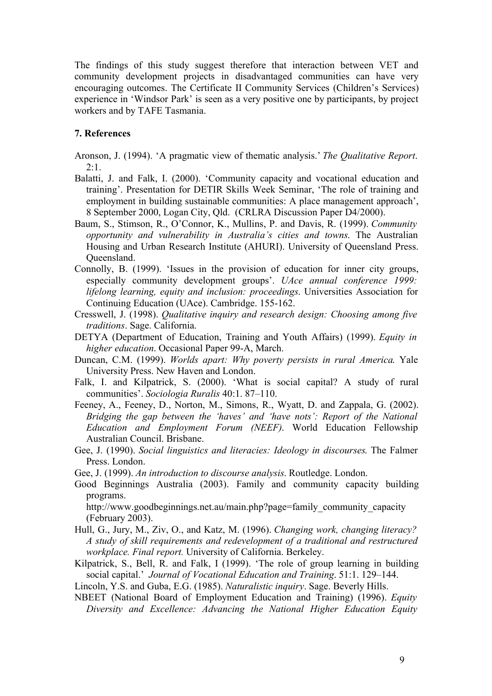The findings of this study suggest therefore that interaction between VET and community development projects in disadvantaged communities can have very encouraging outcomes. The Certificate II Community Services (Children's Services) experience in 'Windsor Park' is seen as a very positive one by participants, by project workers and by TAFE Tasmania.

### **7. References**

- Aronson, J. (1994). 'A pragmatic view of thematic analysis.' *The Qualitative Report*.  $2:1$ .
- Balatti, J. and Falk, I. (2000). 'Community capacity and vocational education and training'. Presentation for DETIR Skills Week Seminar, 'The role of training and employment in building sustainable communities: A place management approach', 8 September 2000, Logan City, Qld. (CRLRA Discussion Paper D4/2000).
- Baum, S., Stimson, R., O'Connor, K., Mullins, P. and Davis, R. (1999). *Community opportunity and vulnerability in Australia's cities and towns*. The Australian Housing and Urban Research Institute (AHURI). University of Queensland Press. Queensland.
- Connolly, B. (1999). 'Issues in the provision of education for inner city groups, especially community development groups'. *UAce annual conference 1999: lifelong learning, equity and inclusion: proceedings*. Universities Association for Continuing Education (UAce). Cambridge. 155-162.
- Cresswell, J. (1998). *Qualitative inquiry and research design: Choosing among five traditions*. Sage. California.
- DETYA (Department of Education, Training and Youth Affairs) (1999). *Equity in higher education*. Occasional Paper 99-A, March.
- Duncan, C.M. (1999). *Worlds apart: Why poverty persists in rural America*. Yale University Press. New Haven and London.
- Falk, I. and Kilpatrick, S. (2000). 'What is social capital? A study of rural communities'. *Sociologia Ruralis* 40:1. 87–110.
- Feeney, A., Feeney, D., Norton, M., Simons, R., Wyatt, D. and Zappala, G. (2002). *Bridging the gap between the 'haves' and 'have nots': Report of the National Education and Employment Forum (NEEF)*. World Education Fellowship Australian Council. Brisbane.
- Gee, J. (1990). *Social linguistics and literacies: Ideology in discourses*. The Falmer Press. London.
- Gee, J. (1999). *An introduction to discourse analysis*. Routledge. London.
- Good Beginnings Australia (2003). Family and community capacity building programs.

http://www.goodbeginnings.net.au/main.php?page=family\_community\_capacity\_ (February 2003).

- Hull, G., Jury, M., Ziv, O., and Katz, M. (1996). *Changing work, changing literacy? A study of skill requirements and redevelopment of a traditional and restructured workplace. Final report.* University of California. Berkeley.
- Kilpatrick, S., Bell, R. and Falk, I (1999). 'The role of group learning in building social capital.' *Journal of Vocational Education and Training*. 51:1. 129–144.
- Lincoln, Y.S. and Guba, E.G. (1985). *Naturalistic inquiry*. Sage. Beverly Hills.
- NBEET (National Board of Employment Education and Training) (1996). *Equity Diversity and Excellence: Advancing the National Higher Education Equity*